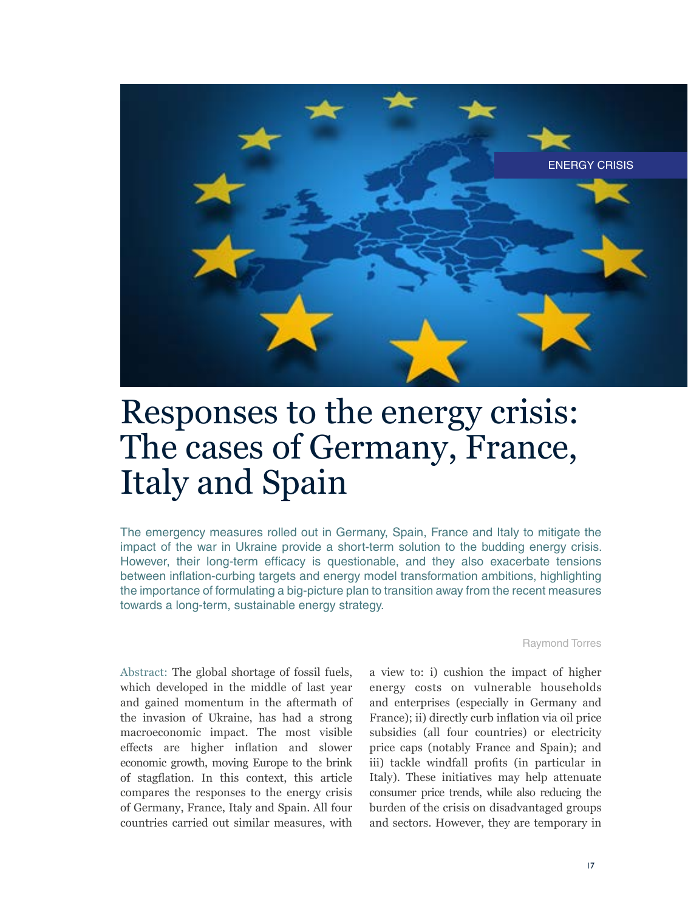

# Responses to the energy crisis: The cases of Germany, France, Italy and Spain

The emergency measures rolled out in Germany, Spain, France and Italy to mitigate the impact of the war in Ukraine provide a short-term solution to the budding energy crisis. However, their long-term efficacy is questionable, and they also exacerbate tensions between inflation-curbing targets and energy model transformation ambitions, highlighting the importance of formulating a big-picture plan to transition away from the recent measures towards a long-term, sustainable energy strategy.

Raymond Torres

Abstract: The global shortage of fossil fuels, which developed in the middle of last year and gained momentum in the aftermath of the invasion of Ukraine, has had a strong macroeconomic impact. The most visible effects are higher inflation and slower economic growth, moving Europe to the brink of stagflation. In this context, this article compares the responses to the energy crisis of Germany, France, Italy and Spain. All four countries carried out similar measures, with

a view to: i) cushion the impact of higher energy costs on vulnerable households and enterprises (especially in Germany and France); ii) directly curb inflation via oil price subsidies (all four countries) or electricity price caps (notably France and Spain); and iii) tackle windfall profits (in particular in Italy). These initiatives may help attenuate consumer price trends, while also reducing the burden of the crisis on disadvantaged groups and sectors. However, they are temporary in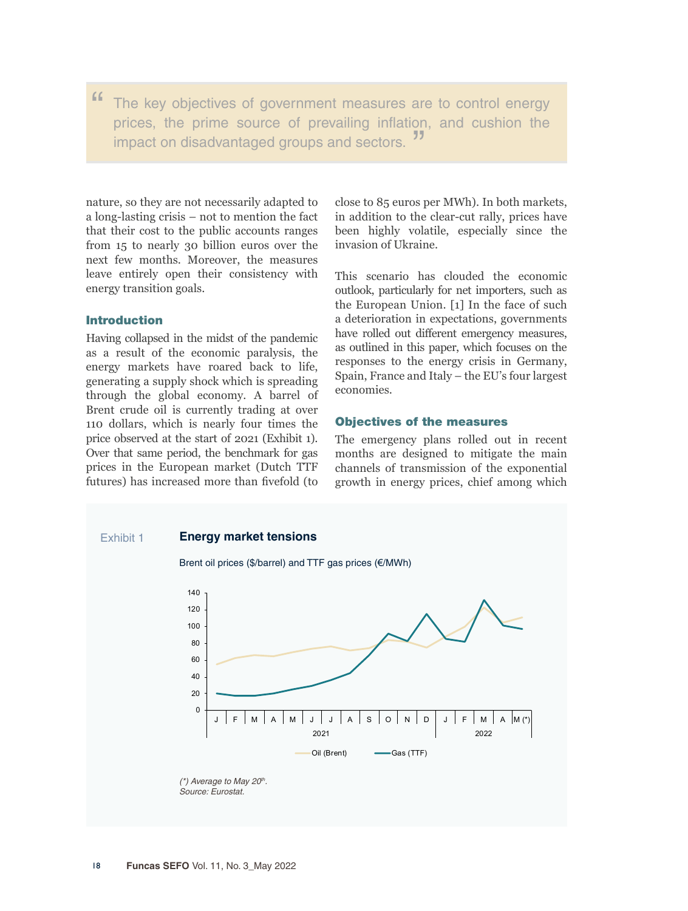" The key objectives of government measures are to control energy prices, the prime source of prevailing inflation, and cushion the impact on disadvantaged groups and sectors.<sup>"</sup>

nature, so they are not necessarily adapted to a long-lasting crisis – not to mention the fact that their cost to the public accounts ranges from 15 to nearly 30 billion euros over the next few months. Moreover, the measures leave entirely open their consistency with energy transition goals.

# Introduction

Having collapsed in the midst of the pandemic as a result of the economic paralysis, the energy markets have roared back to life, generating a supply shock which is spreading through the global economy. A barrel of Brent crude oil is currently trading at over 110 dollars, which is nearly four times the price observed at the start of 2021 (Exhibit 1). Over that same period, the benchmark for gas prices in the European market (Dutch TTF futures) has increased more than fivefold (to

close to 85 euros per MWh). In both markets, in addition to the clear-cut rally, prices have been highly volatile, especially since the invasion of Ukraine.

This scenario has clouded the economic outlook, particularly for net importers, such as the European Union. [1] In the face of such a deterioration in expectations, governments have rolled out different emergency measures, as outlined in this paper, which focuses on the responses to the energy crisis in Germany, Spain, France and Italy – the EU's four largest economies.

### Objectives of the measures

The emergency plans rolled out in recent months are designed to mitigate the main channels of transmission of the exponential growth in energy prices, chief among which

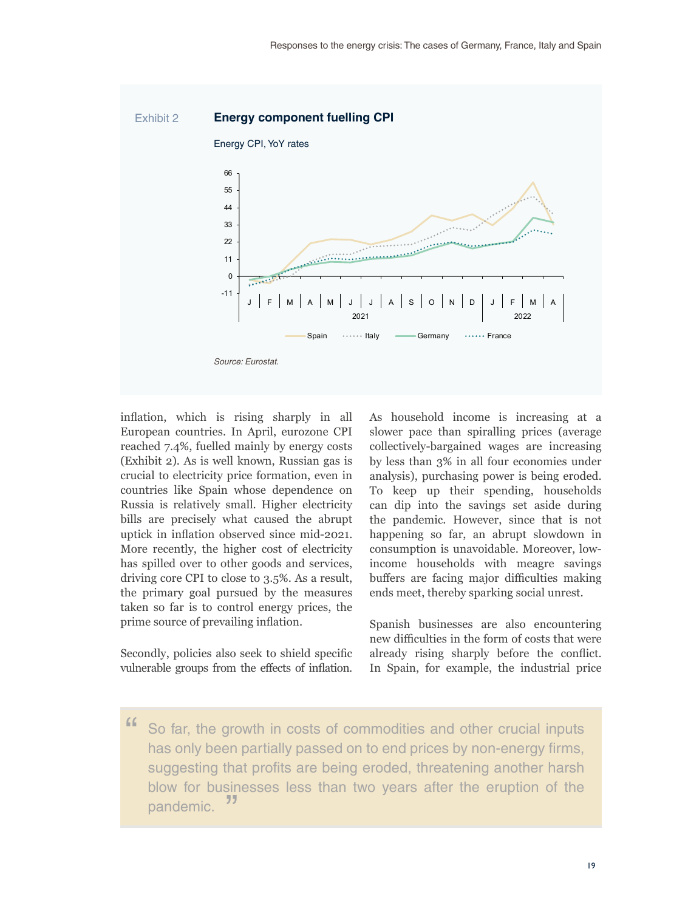

inflation, which is rising sharply in all European countries. In April, eurozone CPI reached 7.4%, fuelled mainly by energy costs (Exhibit 2). As is well known, Russian gas is crucial to electricity price formation, even in countries like Spain whose dependence on Russia is relatively small. Higher electricity bills are precisely what caused the abrupt uptick in inflation observed since mid-2021. More recently, the higher cost of electricity has spilled over to other goods and services, driving core CPI to close to 3.5%. As a result, the primary goal pursued by the measures taken so far is to control energy prices, the prime source of prevailing inflation.

Secondly, policies also seek to shield specific vulnerable groups from the effects of inflation.

As household income is increasing at a slower pace than spiralling prices (average collectively-bargained wages are increasing by less than 3% in all four economies under analysis), purchasing power is being eroded. To keep up their spending, households can dip into the savings set aside during the pandemic. However, since that is not happening so far, an abrupt slowdown in consumption is unavoidable. Moreover, lowincome households with meagre savings buffers are facing major difficulties making ends meet, thereby sparking social unrest.

Spanish businesses are also encountering new difficulties in the form of costs that were already rising sharply before the conflict. In Spain, for example, the industrial price

" So far, the growth in costs of commodities and other crucial inputs has only been partially passed on to end prices by non-energy firms, suggesting that profits are being eroded, threatening another harsh blow for businesses less than two years after the eruption of the nondomia  $\frac{1}{2}$ pandemic.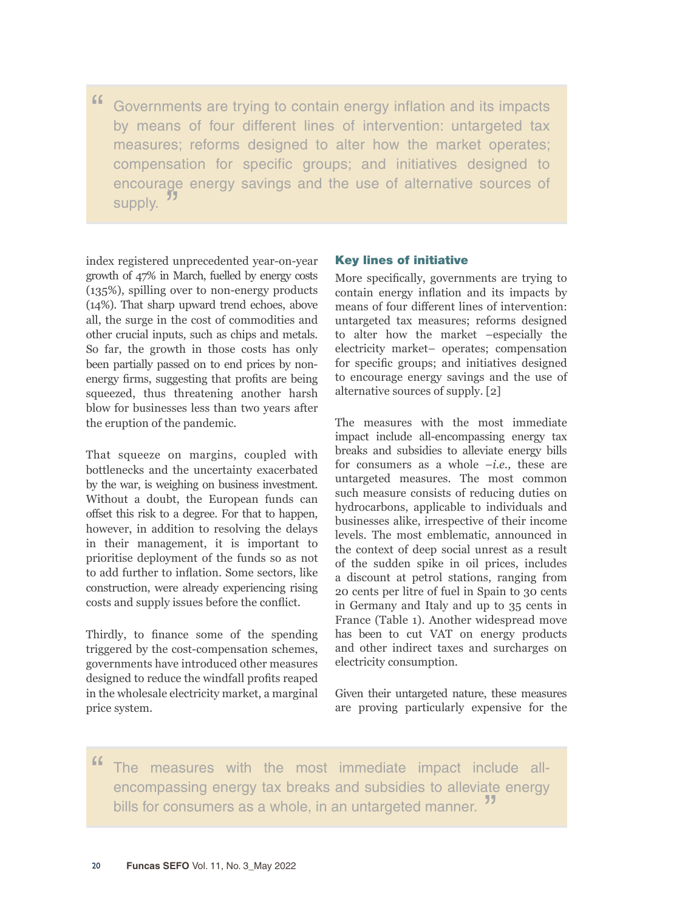" Governments are trying to contain energy inflation and its impacts by means of four different lines of intervention: untargeted tax measures; reforms designed to alter how the market operates; compensation for specific groups; and initiatives designed to encourage energy savings and the use of alternative sources of supply.<sup>55</sup>

index registered unprecedented year-on-year growth of 47% in March, fuelled by energy costs (135%), spilling over to non-energy products (14%). That sharp upward trend echoes, above all, the surge in the cost of commodities and other crucial inputs, such as chips and metals. So far, the growth in those costs has only been partially passed on to end prices by nonenergy firms, suggesting that profits are being squeezed, thus threatening another harsh blow for businesses less than two years after the eruption of the pandemic.

That squeeze on margins, coupled with bottlenecks and the uncertainty exacerbated by the war, is weighing on business investment. Without a doubt, the European funds can offset this risk to a degree. For that to happen, however, in addition to resolving the delays in their management, it is important to prioritise deployment of the funds so as not to add further to inflation. Some sectors, like construction, were already experiencing rising costs and supply issues before the conflict.

Thirdly, to finance some of the spending triggered by the cost-compensation schemes, governments have introduced other measures designed to reduce the windfall profits reaped in the wholesale electricity market, a marginal price system.

# Key lines of initiative

More specifically, governments are trying to contain energy inflation and its impacts by means of four different lines of intervention: untargeted tax measures; reforms designed to alter how the market –especially the electricity market– operates; compensation for specific groups; and initiatives designed to encourage energy savings and the use of alternative sources of supply. [2]

The measures with the most immediate impact include all-encompassing energy tax breaks and subsidies to alleviate energy bills for consumers as a whole –*i.e.,* these are untargeted measures. The most common such measure consists of reducing duties on hydrocarbons, applicable to individuals and businesses alike, irrespective of their income levels. The most emblematic, announced in the context of deep social unrest as a result of the sudden spike in oil prices, includes a discount at petrol stations, ranging from 20 cents per litre of fuel in Spain to 30 cents in Germany and Italy and up to 35 cents in France (Table 1). Another widespread move has been to cut VAT on energy products and other indirect taxes and surcharges on electricity consumption.

Given their untargeted nature, these measures are proving particularly expensive for the

" The measures with the most immediate impact include allencompassing energy tax breaks and subsidies to alleviate energy bills for consumers as a whole, in an untargeted manner.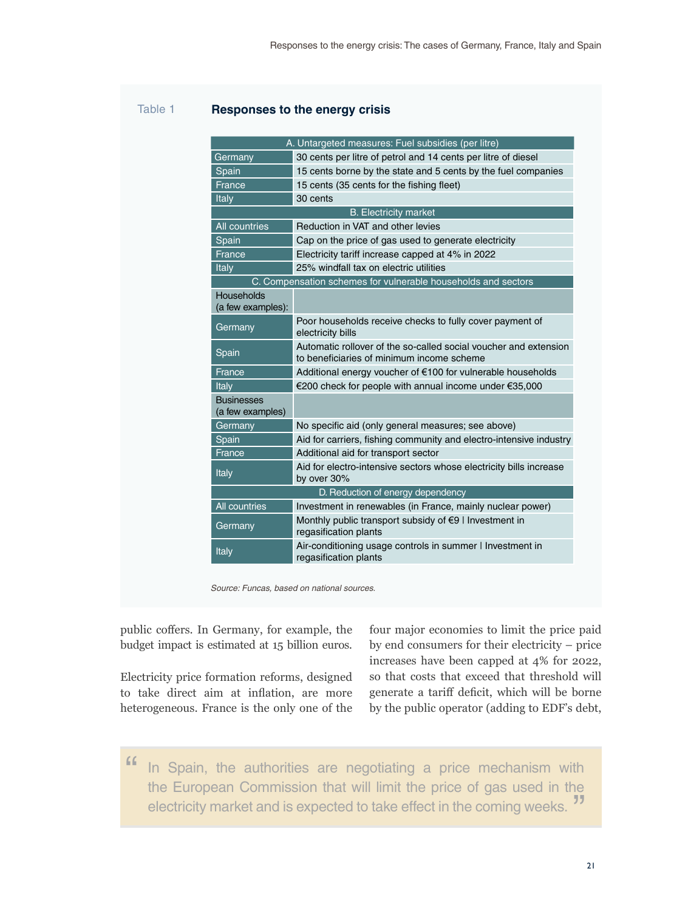# Table 1 **Responses to the energy crisis**

|                                                               | A. Untargeted measures: Fuel subsidies (per litre)                                                            |  |  |  |
|---------------------------------------------------------------|---------------------------------------------------------------------------------------------------------------|--|--|--|
| Germany                                                       | 30 cents per litre of petrol and 14 cents per litre of diesel                                                 |  |  |  |
| Spain                                                         | 15 cents borne by the state and 5 cents by the fuel companies                                                 |  |  |  |
| France                                                        | 15 cents (35 cents for the fishing fleet)                                                                     |  |  |  |
| <b>Italy</b>                                                  | 30 cents                                                                                                      |  |  |  |
| <b>B.</b> Electricity market                                  |                                                                                                               |  |  |  |
| <b>All countries</b>                                          | Reduction in VAT and other levies                                                                             |  |  |  |
| Spain                                                         | Cap on the price of gas used to generate electricity                                                          |  |  |  |
| France                                                        | Electricity tariff increase capped at 4% in 2022                                                              |  |  |  |
| Italy                                                         | 25% windfall tax on electric utilities                                                                        |  |  |  |
| C. Compensation schemes for vulnerable households and sectors |                                                                                                               |  |  |  |
| Households<br>(a few examples):                               |                                                                                                               |  |  |  |
| Germany                                                       | Poor households receive checks to fully cover payment of<br>electricity bills                                 |  |  |  |
| Spain                                                         | Automatic rollover of the so-called social voucher and extension<br>to beneficiaries of minimum income scheme |  |  |  |
| France                                                        | Additional energy voucher of €100 for vulnerable households                                                   |  |  |  |
| Italy                                                         | €200 check for people with annual income under €35,000                                                        |  |  |  |
| <b>Businesses</b><br>(a few examples)                         |                                                                                                               |  |  |  |
| Germany                                                       | No specific aid (only general measures; see above)                                                            |  |  |  |
| Spain                                                         | Aid for carriers, fishing community and electro-intensive industry                                            |  |  |  |
| France                                                        | Additional aid for transport sector                                                                           |  |  |  |
| Italy                                                         | Aid for electro-intensive sectors whose electricity bills increase<br>by over 30%                             |  |  |  |
|                                                               | D. Reduction of energy dependency                                                                             |  |  |  |
| <b>All countries</b>                                          | Investment in renewables (in France, mainly nuclear power)                                                    |  |  |  |
| Germany                                                       | Monthly public transport subsidy of €9   Investment in<br>regasification plants                               |  |  |  |
| Italy                                                         | Air-conditioning usage controls in summer I Investment in<br>regasification plants                            |  |  |  |

*Source: Funcas, based on national sources.*

public coffers. In Germany, for example, the budget impact is estimated at 15 billion euros.

Electricity price formation reforms, designed to take direct aim at inflation, are more heterogeneous. France is the only one of the

four major economies to limit the price paid by end consumers for their electricity – price increases have been capped at 4% for 2022, so that costs that exceed that threshold will generate a tariff deficit, which will be borne by the public operator (adding to EDF's debt,

" In Spain, the authorities are negotiating a price mechanism with the European Commission that will limit the price of gas used in the electricity market and is expected to take effect in the coming weeks. "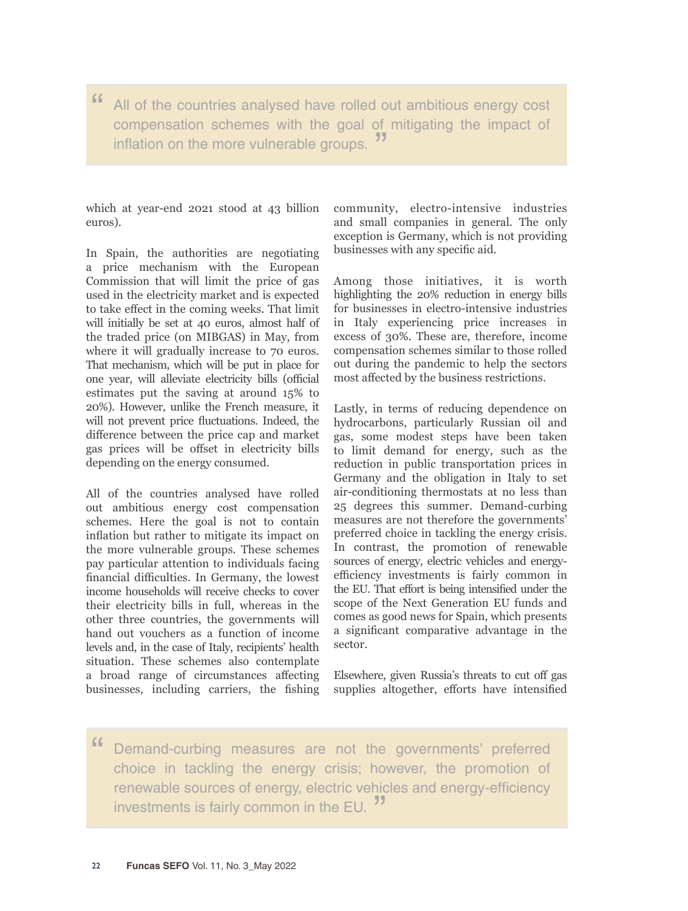" All of the countries analysed have rolled out ambitious energy cost compensation schemes with the goal of mitigating the impact of inflation on the more vulnerable groups.

which at year-end 2021 stood at 43 billion euros).

In Spain, the authorities are negotiating a price mechanism with the European Commission that will limit the price of gas used in the electricity market and is expected to take effect in the coming weeks. That limit will initially be set at 40 euros, almost half of the traded price (on MIBGAS) in May, from where it will gradually increase to 70 euros. That mechanism, which will be put in place for one year, will alleviate electricity bills (official estimates put the saving at around 15% to 20%). However, unlike the French measure, it will not prevent price fluctuations. Indeed, the difference between the price cap and market gas prices will be offset in electricity bills depending on the energy consumed.

All of the countries analysed have rolled out ambitious energy cost compensation schemes. Here the goal is not to contain inflation but rather to mitigate its impact on the more vulnerable groups. These schemes pay particular attention to individuals facing financial difficulties. In Germany, the lowest income households will receive checks to cover their electricity bills in full, whereas in the other three countries, the governments will hand out vouchers as a function of income levels and, in the case of Italy, recipients' health situation. These schemes also contemplate a broad range of circumstances affecting businesses, including carriers, the fishing community, electro-intensive industries and small companies in general. The only exception is Germany, which is not providing businesses with any specific aid.

Among those initiatives, it is worth highlighting the 20% reduction in energy bills for businesses in electro-intensive industries in Italy experiencing price increases in excess of 30%. These are, therefore, income compensation schemes similar to those rolled out during the pandemic to help the sectors most affected by the business restrictions.

Lastly, in terms of reducing dependence on hydrocarbons, particularly Russian oil and gas, some modest steps have been taken to limit demand for energy, such as the reduction in public transportation prices in Germany and the obligation in Italy to set air-conditioning thermostats at no less than 25 degrees this summer. Demand-curbing measures are not therefore the governments' preferred choice in tackling the energy crisis. In contrast, the promotion of renewable sources of energy, electric vehicles and energyefficiency investments is fairly common in the EU. That effort is being intensified under the scope of the Next Generation EU funds and comes as good news for Spain, which presents a significant comparative advantage in the sector.

Elsewhere, given Russia's threats to cut off gas supplies altogether, efforts have intensified

" Demand-curbing measures are not the governments' preferred choice in tackling the energy crisis; however, the promotion of renewable sources of energy, electric vehicles and energy-efficiency investments is fairly common in the EU.<sup>"</sup>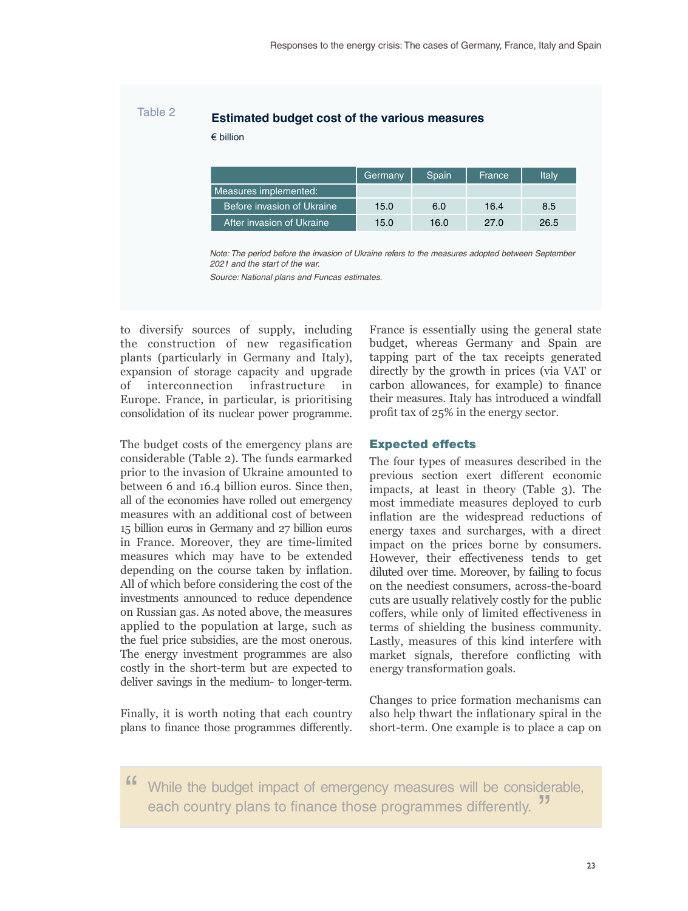# Table 2 **Estimated budget cost of the various measures**

€ billion

|                            | 'Germany | Spain | France | Italy |
|----------------------------|----------|-------|--------|-------|
| Measures implemented:      |          |       |        |       |
| Before invasion of Ukraine | 15.0     | 6.0   | 16.4   | 8.5   |
| After invasion of Ukraine  | 15.0     | 16.0  | 27.0   | 26.5  |

*Note: The period before the invasion of Ukraine refers to the measures adopted between September 2021 and the start of the war.*

*Source: National plans and Funcas estimates.* 

to diversify sources of supply, including the construction of new regasification plants (particularly in Germany and Italy), expansion of storage capacity and upgrade of interconnection infrastructure in Europe. France, in particular, is prioritising consolidation of its nuclear power programme.

The budget costs of the emergency plans are considerable (Table 2). The funds earmarked prior to the invasion of Ukraine amounted to between 6 and 16.4 billion euros. Since then, all of the economies have rolled out emergency measures with an additional cost of between 15 billion euros in Germany and 27 billion euros in France. Moreover, they are time-limited measures which may have to be extended depending on the course taken by inflation. All of which before considering the cost of the investments announced to reduce dependence on Russian gas. As noted above, the measures applied to the population at large, such as the fuel price subsidies, are the most onerous. The energy investment programmes are also costly in the short-term but are expected to deliver savings in the medium- to longer-term.

Finally, it is worth noting that each country plans to finance those programmes differently.

France is essentially using the general state budget, whereas Germany and Spain are tapping part of the tax receipts generated directly by the growth in prices (via VAT or carbon allowances, for example) to finance their measures. Italy has introduced a windfall profit tax of 25% in the energy sector.

### Expected effects

The four types of measures described in the previous section exert different economic impacts, at least in theory (Table 3). The most immediate measures deployed to curb inflation are the widespread reductions of energy taxes and surcharges, with a direct impact on the prices borne by consumers. However, their effectiveness tends to get diluted over time. Moreover, by failing to focus on the neediest consumers, across-the-board cuts are usually relatively costly for the public coffers, while only of limited effectiveness in terms of shielding the business community. Lastly, measures of this kind interfere with market signals, therefore conflicting with energy transformation goals.

Changes to price formation mechanisms can also help thwart the inflationary spiral in the short-term. One example is to place a cap on

" While the budget impact of emergency measures will be considerable, each country plans to finance those programmes differently.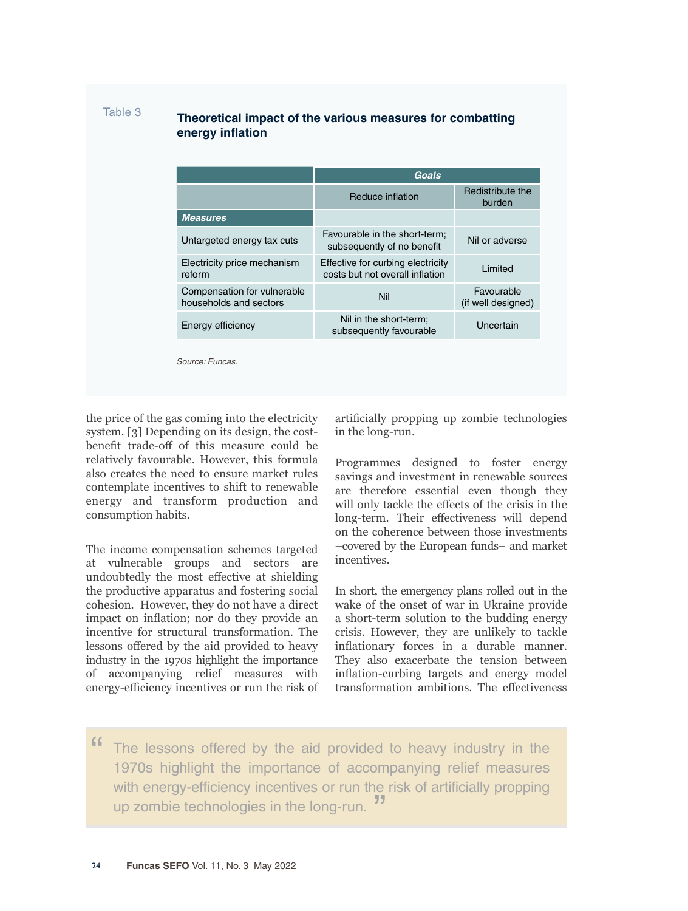# Table 3 **Theoretical impact of the various measures for combatting energy inflation**

| Reduce inflation                                                     | Redistribute the<br>burden       |  |
|----------------------------------------------------------------------|----------------------------------|--|
|                                                                      |                                  |  |
| Favourable in the short-term;<br>subsequently of no benefit          | Nil or adverse                   |  |
| Effective for curbing electricity<br>costs but not overall inflation | Limited                          |  |
| Nil                                                                  | Favourable<br>(if well designed) |  |
| Nil in the short-term;<br>subsequently favourable                    | Uncertain                        |  |
|                                                                      |                                  |  |

the price of the gas coming into the electricity system. [3] Depending on its design, the costbenefit trade-off of this measure could be relatively favourable. However, this formula also creates the need to ensure market rules contemplate incentives to shift to renewable energy and transform production and consumption habits.

The income compensation schemes targeted at vulnerable groups and sectors are undoubtedly the most effective at shielding the productive apparatus and fostering social cohesion. However, they do not have a direct impact on inflation; nor do they provide an incentive for structural transformation. The lessons offered by the aid provided to heavy industry in the 1970s highlight the importance of accompanying relief measures with energy-efficiency incentives or run the risk of artificially propping up zombie technologies in the long-run.

Programmes designed to foster energy savings and investment in renewable sources are therefore essential even though they will only tackle the effects of the crisis in the long-term. Their effectiveness will depend on the coherence between those investments –covered by the European funds– and market incentives.

In short, the emergency plans rolled out in the wake of the onset of war in Ukraine provide a short-term solution to the budding energy crisis. However, they are unlikely to tackle inflationary forces in a durable manner. They also exacerbate the tension between inflation-curbing targets and energy model transformation ambitions. The effectiveness

The lessons offered by the aid provided to heavy industry in the 1970s highlight the importance of accompanying relief measures with energy-efficiency incentives or run the risk of artificially propping up zombie technologies in the long-run.